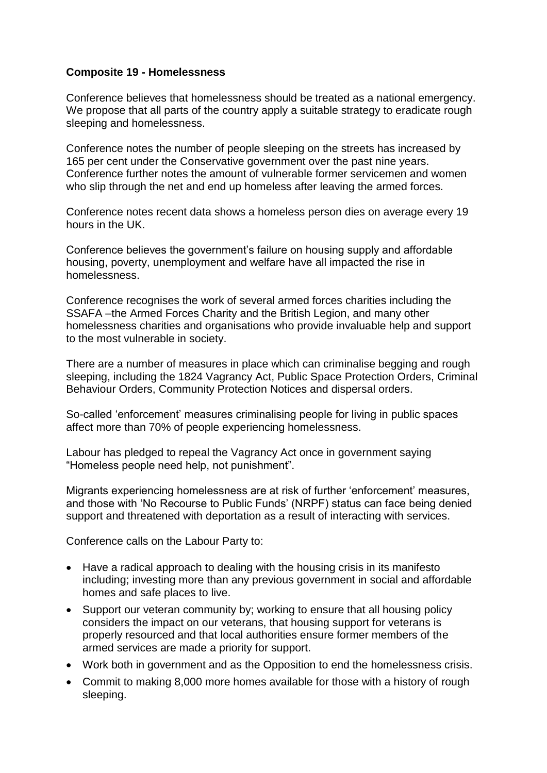## **Composite 19 - Homelessness**

Conference believes that homelessness should be treated as a national emergency. We propose that all parts of the country apply a suitable strategy to eradicate rough sleeping and homelessness.

Conference notes the number of people sleeping on the streets has increased by 165 per cent under the Conservative government over the past nine years. Conference further notes the amount of vulnerable former servicemen and women who slip through the net and end up homeless after leaving the armed forces.

Conference notes recent data shows a homeless person dies on average every 19 hours in the UK.

Conference believes the government's failure on housing supply and affordable housing, poverty, unemployment and welfare have all impacted the rise in homelessness.

Conference recognises the work of several armed forces charities including the SSAFA –the Armed Forces Charity and the British Legion, and many other homelessness charities and organisations who provide invaluable help and support to the most vulnerable in society.

There are a number of measures in place which can criminalise begging and rough sleeping, including the 1824 Vagrancy Act, Public Space Protection Orders, Criminal Behaviour Orders, Community Protection Notices and dispersal orders.

So-called 'enforcement' measures criminalising people for living in public spaces affect more than 70% of people experiencing homelessness.

Labour has pledged to repeal the Vagrancy Act once in government saying "Homeless people need help, not punishment".

Migrants experiencing homelessness are at risk of further 'enforcement' measures, and those with 'No Recourse to Public Funds' (NRPF) status can face being denied support and threatened with deportation as a result of interacting with services.

Conference calls on the Labour Party to:

- Have a radical approach to dealing with the housing crisis in its manifesto including; investing more than any previous government in social and affordable homes and safe places to live.
- Support our veteran community by; working to ensure that all housing policy considers the impact on our veterans, that housing support for veterans is properly resourced and that local authorities ensure former members of the armed services are made a priority for support.
- Work both in government and as the Opposition to end the homelessness crisis.
- Commit to making 8,000 more homes available for those with a history of rough sleeping.